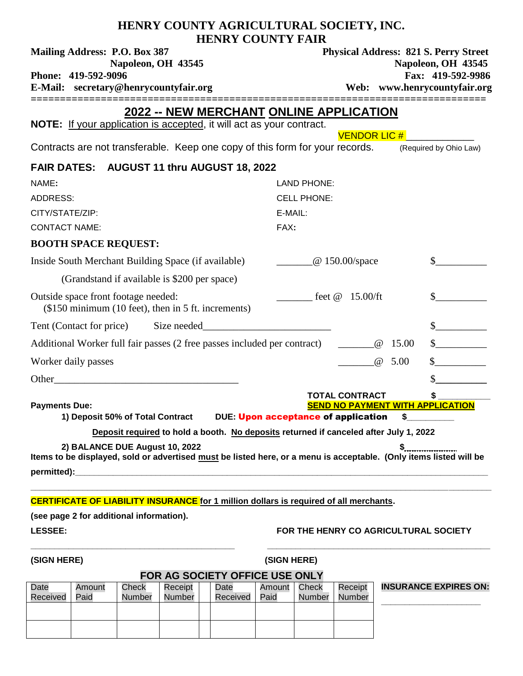| HENRY COUNTY AGRICULTURAL SOCIETY, INC.<br><b>HENRY COUNTY FAIR</b>                                                                                  |                                            |                                                                                                                                                   |       |                                         |  |  |  |  |  |  |  |  |
|------------------------------------------------------------------------------------------------------------------------------------------------------|--------------------------------------------|---------------------------------------------------------------------------------------------------------------------------------------------------|-------|-----------------------------------------|--|--|--|--|--|--|--|--|
| Mailing Address: P.O. Box 387<br>Napoleon, OH 43545<br>Phone: 419-592-9096<br>E-Mail: secretary@henrycountyfair.org                                  |                                            | <b>Physical Address: 821 S. Perry Street</b><br>Napoleon, OH 43545<br>Fax: 419-592-9986<br>Web: www.henrycountyfair.org<br>====================== |       |                                         |  |  |  |  |  |  |  |  |
| 2022 -- NEW MERCHANT ONLINE APPLICATION<br>NOTE: If your application is accepted, it will act as your contract.<br><b>VENDOR LIC #</b>               |                                            |                                                                                                                                                   |       |                                         |  |  |  |  |  |  |  |  |
| Contracts are not transferable. Keep one copy of this form for your records. (Required by Ohio Law)                                                  |                                            |                                                                                                                                                   |       |                                         |  |  |  |  |  |  |  |  |
| FAIR DATES: AUGUST 11 thru AUGUST 18, 2022                                                                                                           |                                            |                                                                                                                                                   |       |                                         |  |  |  |  |  |  |  |  |
| NAME:                                                                                                                                                | <b>LAND PHONE:</b>                         |                                                                                                                                                   |       |                                         |  |  |  |  |  |  |  |  |
| <b>ADDRESS:</b>                                                                                                                                      | <b>CELL PHONE:</b>                         |                                                                                                                                                   |       |                                         |  |  |  |  |  |  |  |  |
| CITY/STATE/ZIP:                                                                                                                                      | E-MAIL:                                    |                                                                                                                                                   |       |                                         |  |  |  |  |  |  |  |  |
| <b>CONTACT NAME:</b>                                                                                                                                 | FAX:                                       |                                                                                                                                                   |       |                                         |  |  |  |  |  |  |  |  |
| <b>BOOTH SPACE REQUEST:</b>                                                                                                                          |                                            |                                                                                                                                                   |       |                                         |  |  |  |  |  |  |  |  |
| Inside South Merchant Building Space (if available)                                                                                                  | $@150.00$ /space                           |                                                                                                                                                   |       |                                         |  |  |  |  |  |  |  |  |
| (Grandstand if available is \$200 per space)                                                                                                         |                                            |                                                                                                                                                   |       |                                         |  |  |  |  |  |  |  |  |
| Outside space front footage needed:<br>(\$150 minimum (10 feet), then in 5 ft. increments)                                                           | feet $\omega$ 15.00/ft                     |                                                                                                                                                   |       |                                         |  |  |  |  |  |  |  |  |
|                                                                                                                                                      |                                            |                                                                                                                                                   |       |                                         |  |  |  |  |  |  |  |  |
| Additional Worker full fair passes (2 free passes included per contract) _______                                                                     |                                            | $^{\,}$                                                                                                                                           | 15.00 |                                         |  |  |  |  |  |  |  |  |
| Worker daily passes                                                                                                                                  |                                            | @                                                                                                                                                 | 5.00  |                                         |  |  |  |  |  |  |  |  |
| Other_                                                                                                                                               |                                            |                                                                                                                                                   |       |                                         |  |  |  |  |  |  |  |  |
|                                                                                                                                                      | <b>TOTAL CONTRACT</b>                      |                                                                                                                                                   |       | \$                                      |  |  |  |  |  |  |  |  |
| <b>Payments Due:</b><br>1) Deposit 50% of Total Contract                                                                                             | <b>DUE: Upon acceptance of application</b> |                                                                                                                                                   | \$    | <b>SEND NO PAYMENT WITH APPLICATION</b> |  |  |  |  |  |  |  |  |
| Deposit required to hold a booth. No deposits returned if canceled after July 1, 2022                                                                |                                            |                                                                                                                                                   |       |                                         |  |  |  |  |  |  |  |  |
| 2) BALANCE DUE August 10, 2022<br>Items to be displayed, sold or advertised must be listed here, or a menu is acceptable. (Only items listed will be |                                            |                                                                                                                                                   |       | \$                                      |  |  |  |  |  |  |  |  |
| <b>CERTIFICATE OF LIABILITY INSURANCE for 1 million dollars is required of all merchants.</b>                                                        |                                            |                                                                                                                                                   |       |                                         |  |  |  |  |  |  |  |  |

**(see page 2 for additional information).** 

### **LESSEE: FOR THE HENRY CO AGRICULTURAL SOCIETY**

**(SIGN HERE) (SIGN HERE)**

## **FOR AG SOCIETY OFFICE USE ONLY**

**\_\_\_\_\_\_\_\_\_\_\_\_\_\_\_\_\_\_\_\_\_\_\_\_\_\_\_\_\_\_\_\_\_\_\_\_\_\_\_\_\_\_\_ \_\_\_\_\_\_\_\_\_\_\_\_\_\_\_\_\_\_\_\_\_\_\_\_\_\_\_\_\_\_\_\_\_\_\_\_\_\_\_\_\_\_\_\_\_\_\_**

| <b>FUR AG SUGIETT UFFIGE USE UNLT</b> |        |        |         |  |          |        |        |         |              |  |  |
|---------------------------------------|--------|--------|---------|--|----------|--------|--------|---------|--------------|--|--|
| Date                                  | Amount | Check  | Receipt |  | Date     | Amount | Check  | Receipt | <b>INSUR</b> |  |  |
| Received                              | Paid   | Number | Number  |  | Received | Paid   | Number | Number  |              |  |  |
|                                       |        |        |         |  |          |        |        |         |              |  |  |
|                                       |        |        |         |  |          |        |        |         |              |  |  |
|                                       |        |        |         |  |          |        |        |         |              |  |  |
|                                       |        |        |         |  |          |        |        |         |              |  |  |

**INSURANCE EXPIRES ON: \_\_\_\_\_\_\_\_\_\_\_\_\_\_\_\_\_\_\_\_\_**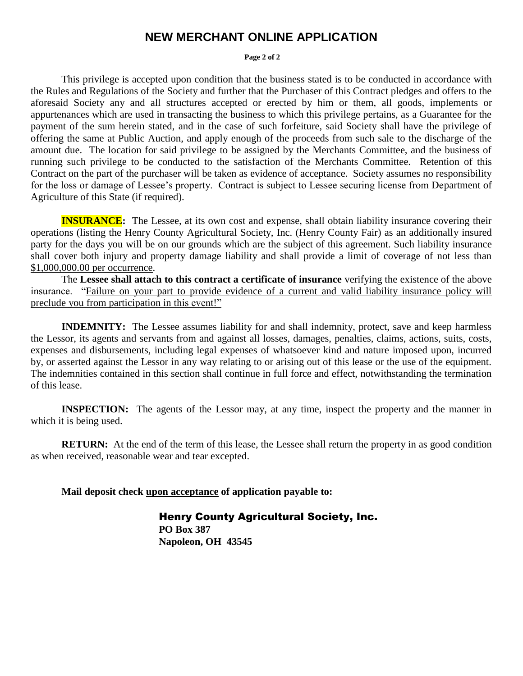## **NEW MERCHANT ONLINE APPLICATION**

#### **Page 2 of 2**

This privilege is accepted upon condition that the business stated is to be conducted in accordance with the Rules and Regulations of the Society and further that the Purchaser of this Contract pledges and offers to the aforesaid Society any and all structures accepted or erected by him or them, all goods, implements or appurtenances which are used in transacting the business to which this privilege pertains, as a Guarantee for the payment of the sum herein stated, and in the case of such forfeiture, said Society shall have the privilege of offering the same at Public Auction, and apply enough of the proceeds from such sale to the discharge of the amount due. The location for said privilege to be assigned by the Merchants Committee, and the business of running such privilege to be conducted to the satisfaction of the Merchants Committee. Retention of this Contract on the part of the purchaser will be taken as evidence of acceptance. Society assumes no responsibility for the loss or damage of Lessee's property. Contract is subject to Lessee securing license from Department of Agriculture of this State (if required).

**INSURANCE:** The Lessee, at its own cost and expense, shall obtain liability insurance covering their operations (listing the Henry County Agricultural Society, Inc. (Henry County Fair) as an additionally insured party for the days you will be on our grounds which are the subject of this agreement. Such liability insurance shall cover both injury and property damage liability and shall provide a limit of coverage of not less than \$1,000,000.00 per occurrence.

The **Lessee shall attach to this contract a certificate of insurance** verifying the existence of the above insurance. "Failure on your part to provide evidence of a current and valid liability insurance policy will preclude you from participation in this event!"

**INDEMNITY:** The Lessee assumes liability for and shall indemnity, protect, save and keep harmless the Lessor, its agents and servants from and against all losses, damages, penalties, claims, actions, suits, costs, expenses and disbursements, including legal expenses of whatsoever kind and nature imposed upon, incurred by, or asserted against the Lessor in any way relating to or arising out of this lease or the use of the equipment. The indemnities contained in this section shall continue in full force and effect, notwithstanding the termination of this lease.

**INSPECTION:** The agents of the Lessor may, at any time, inspect the property and the manner in which it is being used.

**RETURN:** At the end of the term of this lease, the Lessee shall return the property in as good condition as when received, reasonable wear and tear excepted.

**Mail deposit check upon acceptance of application payable to:**

**Henry County Agricultural Society, Inc. PO Box 387 Napoleon, OH 43545**